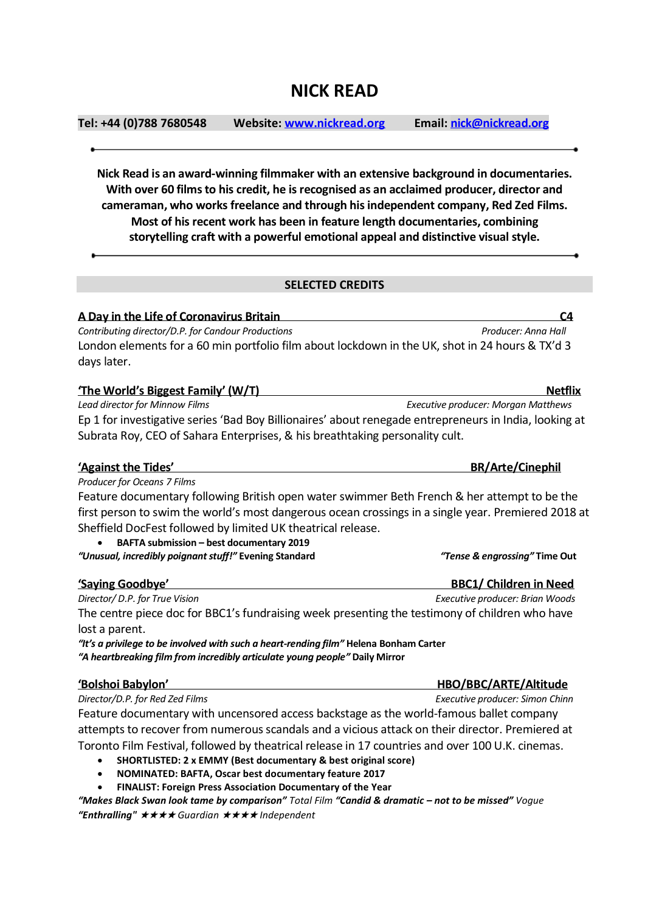## **NICK READ**

**Tel: +44 (0)788 7680548 Website[: www.nickread.org](http://www.nickread.org/) Email[: nick@nickread.org](mailto:nick@nickread.org)**

**Nick Read is an award-winning filmmaker with an extensive background in documentaries. With over 60 films to his credit, he is recognised as an acclaimed producer, director and cameraman, who works freelance and through his independent company, Red Zed Films. Most of his recent work has been in feature length documentaries, combining storytelling craft with a powerful emotional appeal and distinctive visual style.**

## **SELECTED CREDITS**

**A Day in the Life of Coronavirus Britain C4** *Contributing director/D.P. for Candour Productions Producer: Anna Hall* London elements for a 60 min portfolio film about lockdown in the UK, shot in 24 hours & TX'd 3 days later.

| 'The World's Biggest Family' (W/T)                                                                     | <b>Netflix</b>                             |
|--------------------------------------------------------------------------------------------------------|--------------------------------------------|
| Lead director for Minnow Films                                                                         | <b>Executive producer: Morgan Matthews</b> |
| Ep 1 for investigative series 'Bad Boy Billionaires' about renegade entrepreneurs in India, looking at |                                            |
| Subrata Roy, CEO of Sahara Enterprises, & his breathtaking personality cult.                           |                                            |

## **'Against the Tides' BR/Arte/Cinephil**

*Producer for Oceans 7 Films* Feature documentary following British open water swimmer Beth French & her attempt to be the first person to swim the world's most dangerous ocean crossings in a single year. Premiered 2018 at Sheffield DocFest followed by limited UK theatrical release.

• **BAFTA submission – best documentary 2019** *"Unusual, incredibly poignant stuff!"* **Evening Standard** *"Tense & engrossing"* **Time Out**

| 'Saying Goodbye'                                                                               | <b>BBC1/ Children in Need</b>   |
|------------------------------------------------------------------------------------------------|---------------------------------|
| Director/ D.P. for True Vision                                                                 | Executive producer: Brian Woods |
| The centre piece doc for BBC1's fundraising week presenting the testimony of children who have |                                 |
| lost a parent.                                                                                 |                                 |
| "It's a privilege to be involved with such a heart-rending film" Helena Bonham Carter          |                                 |
| "A heartbreaking film from incredibly articulate young people" Daily Mirror                    |                                 |

**'Bolshoi Babylon' HBO/BBC/ARTE/Altitude** *Director/D.P. for Red Zed Films Executive producer: Simon Chinn* Feature documentary with uncensored access backstage as the world-famous ballet company attempts to recover from numerous scandals and a vicious attack on their director. Premiered at Toronto Film Festival, followed by theatrical release in 17 countries and over 100 U.K. cinemas.

- **SHORTLISTED: 2 x EMMY (Best documentary & best original score)**
- **NOMINATED: BAFTA, Oscar best documentary feature 2017**
- **FINALIST: Foreign Press Association Documentary of the Year**

*"Makes Black Swan look tame by comparison" Total Film "Candid & dramatic – not to be missed" Vogue "Enthralling"* ★★★★ *Guardian* ★★★★ *Independent*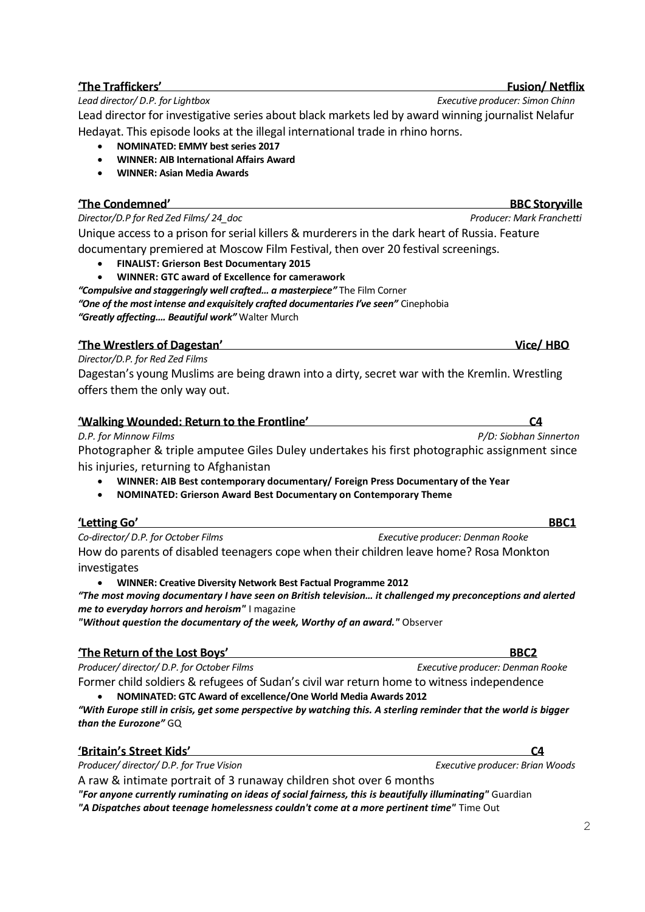## **'The Traffickers' Fusion/ Netflix**

### *Lead director/ D.P. for Lightbox Executive producer: Simon Chinn*

Lead director for investigative series about black markets led by award winning journalist Nelafur Hedayat. This episode looks at the illegal international trade in rhino horns.

- **NOMINATED: EMMY best series 2017**
- **WINNER: AIB International Affairs Award**
- **WINNER: Asian Media Awards**

## **'The Condemned' BBC Storyville**

*Director/D.P for Red Zed Films/ 24\_doc Producer: Mark Franchetti* Unique access to a prison for serial killers & murderers in the dark heart of Russia. Feature documentary premiered at Moscow Film Festival, then over 20 festival screenings.

- **FINALIST: Grierson Best Documentary 2015**
- **WINNER: GTC award of Excellence for camerawork**

*"Compulsive and staggeringly well crafted… a masterpiece"* The Film Corner *"One of the most intense and exquisitely crafted documentaries I've seen"* Cinephobia *"Greatly affecting…. Beautiful work"* Walter Murch

## **'The Wrestlers of Dagestan' Vice/ HBO**

*Director/D.P. for Red Zed Films*  Dagestan's young Muslims are being drawn into a dirty, secret war with the Kremlin. Wrestling offers them the only way out.

| 'Walking Wounded: Return to the Frontline' |  |
|--------------------------------------------|--|
|                                            |  |

*D.P. for Minnow Films P/D: Siobhan Sinnerton* Photographer & triple amputee Giles Duley undertakes his first photographic assignment since his injuries, returning to Afghanistan

- **WINNER: AIB Best contemporary documentary/ Foreign Press Documentary of the Year**
- **NOMINATED: Grierson Award Best Documentary on Contemporary Theme**

## **'Letting Go' BBC1**

*Co-director/ D.P. for October Films Executive producer: Denman Rooke* How do parents of disabled teenagers cope when their children leave home? Rosa Monkton investigates

• **WINNER: Creative Diversity Network Best Factual Programme 2012**

*"The most moving documentary I have seen on British television… it challenged my preconceptions and alerted me to everyday horrors and heroism"* I magazine

*"Without question the documentary of the week, Worthy of an award."* Observer

## **'The Return of the Lost Boys' BBC2**

Producer/ director/ D.P. for October Films **Executive producer: Denman Rooke** Executive producer: Denman Rooke

Former child soldiers & refugees of Sudan's civil war return home to witness independence

• **NOMINATED: GTC Award of excellence/One World Media Awards 2012**

*"With Europe still in crisis, get some perspective by watching this. A sterling reminder that the world is bigger than the Eurozone"* GQ

| 'Britain's Street Kids' |  |
|-------------------------|--|
|                         |  |

*Producer/ director/ D.P. for True Vision Executive producer: Brian Woods*

A raw & intimate portrait of 3 runaway children shot over 6 months *["For anyone currently ruminating on ideas of social fairness, this](http://www.guardian.co.uk/tv-and-radio/2010/oct/30/grace-dent-tv-od) is beautifully illuminating"* Guardian

*["A Dispatches about teenage homelessness couldn't come at a more pertinent time"](http://truevisiontv.com/themes/truevisiontv/uploads/films/film_reviews/Time_Out2.pdf)* Time Out

 $\mathfrak{D}$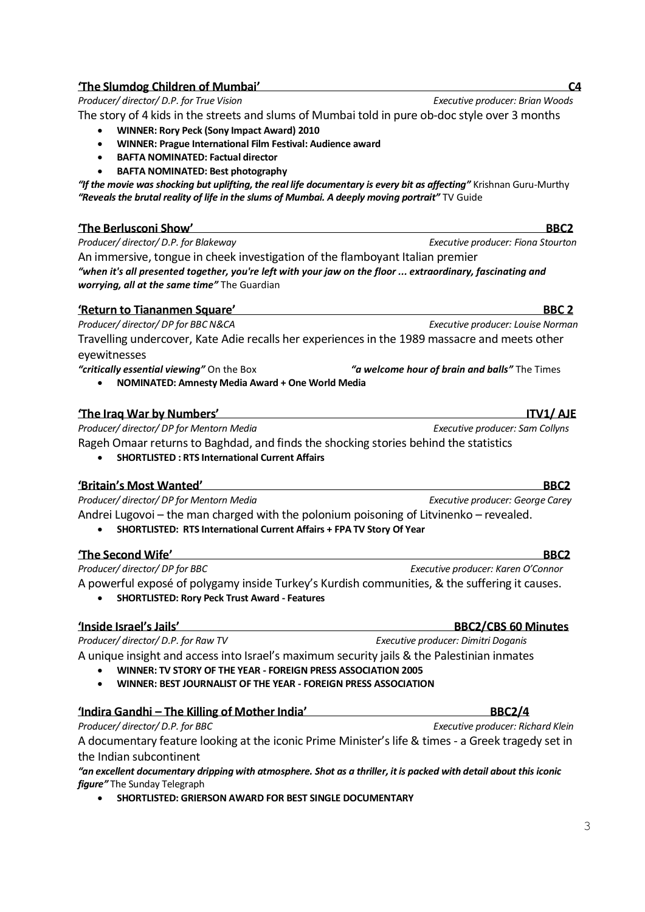| <b>BAFTA NOMINATED: Best photography</b><br>"If the movie was shocking but uplifting, the real life documentary is every bit as affecting" Krishnan Guru-Murthy<br>"Reveals the brutal reality of life in the slums of Mumbai. A deeply moving portrait" TV Guide |                                               |
|-------------------------------------------------------------------------------------------------------------------------------------------------------------------------------------------------------------------------------------------------------------------|-----------------------------------------------|
| 'The Berlusconi Show'                                                                                                                                                                                                                                             | BBC <sub>2</sub>                              |
| Producer/director/D.P. for Blakeway                                                                                                                                                                                                                               | Executive producer: Fiona Stourton            |
| An immersive, tongue in cheek investigation of the flamboyant Italian premier                                                                                                                                                                                     |                                               |
| when it's all presented together, you're left with your jaw on the floor  extraordinary, fascinating and "<br>worrying, all at the same time" The Guardian                                                                                                        |                                               |
| 'Return to Tiananmen Square'                                                                                                                                                                                                                                      | <b>BBC 2</b>                                  |
| Producer/director/DP for BBC N&CA                                                                                                                                                                                                                                 | Executive producer: Louise Norman             |
| Travelling undercover, Kate Adie recalls her experiences in the 1989 massacre and meets other<br>eyewitnesses                                                                                                                                                     |                                               |
| "critically essential viewing" On the Box<br>NOMINATED: Amnesty Media Award + One World Media                                                                                                                                                                     | "a welcome hour of brain and balls" The Times |
| 'The Iraq War by Numbers'                                                                                                                                                                                                                                         | <b>ITV1/AJE</b>                               |
| Producer/ director/ DP for Mentorn Media                                                                                                                                                                                                                          | Executive producer: Sam Collyns               |
| Rageh Omaar returns to Baghdad, and finds the shocking stories behind the statistics<br><b>SHORTLISTED: RTS International Current Affairs</b>                                                                                                                     |                                               |
| 'Britain's Most Wanted'                                                                                                                                                                                                                                           | BBC <sub>2</sub>                              |
| Producer/director/DP for Mentorn Media                                                                                                                                                                                                                            | Executive producer: George Carey              |
| Andrei Lugovoi – the man charged with the polonium poisoning of Litvinenko – revealed.<br>SHORTLISTED: RTS International Current Affairs + FPA TV Story Of Year                                                                                                   |                                               |
| 'The Second Wife'                                                                                                                                                                                                                                                 | BBC <sub>2</sub>                              |
| Producer/director/DP for BBC                                                                                                                                                                                                                                      | Executive producer: Karen O'Connor            |
| A powerful exposé of polygamy inside Turkey's Kurdish communities, & the suffering it causes.                                                                                                                                                                     |                                               |
| <b>SHORTLISTED: Rory Peck Trust Award - Features</b>                                                                                                                                                                                                              |                                               |
| 'Inside Israel's Jails'                                                                                                                                                                                                                                           | <b>BBC2/CBS 60 Minutes</b>                    |
| Producer/ director/ D.P. for Raw TV                                                                                                                                                                                                                               | Executive producer: Dimitri Doganis           |
| A unique insight and access into Israel's maximum security jails & the Palestinian inmates<br>WINNER: TV STORY OF THE YEAR - FOREIGN PRESS ASSOCIATION 2005                                                                                                       |                                               |
| WINNER: BEST JOURNALIST OF THE YEAR - FOREIGN PRESS ASSOCIATION                                                                                                                                                                                                   |                                               |
| <u>'Indira Gandhi – The Killing of Mother India'</u>                                                                                                                                                                                                              | <b>BBC2/4</b>                                 |
| Producer/director/D.P. for BBC                                                                                                                                                                                                                                    | Executive producer: Richard Klein             |
| A documentary feature looking at the iconic Prime Minister's life & times - a Greek tragedy set in<br>the Indian subcontinent                                                                                                                                     |                                               |
| "an excellent documentary dripping with atmosphere. Shot as a thriller, it is packed with detail about this iconic<br>figure" The Sunday Telegraph                                                                                                                |                                               |
| SHORTLISTED: GRIERSON AWARD FOR BEST SINGLE DOCUMENTARY                                                                                                                                                                                                           |                                               |

## **The Slumdog Children of Mumbai'**<br> **Producer/ director/ D.P. for True Vision**<br> **Executive producer: Brian Woods** *Producer/ director/ D.P. for True Vision*

The story of 4 kids in the streets and slums of Mumbai told in pure ob-doc style over 3 months

- **WINNER: Rory Peck (Sony Impact Award) 2010**
- **WINNER: Prague International Film Festival: Audience award**
- **BAFTA NOMINATED: Factual director**

|  | 'The Iraq War by Numbers' |
|--|---------------------------|
|  |                           |

# 3